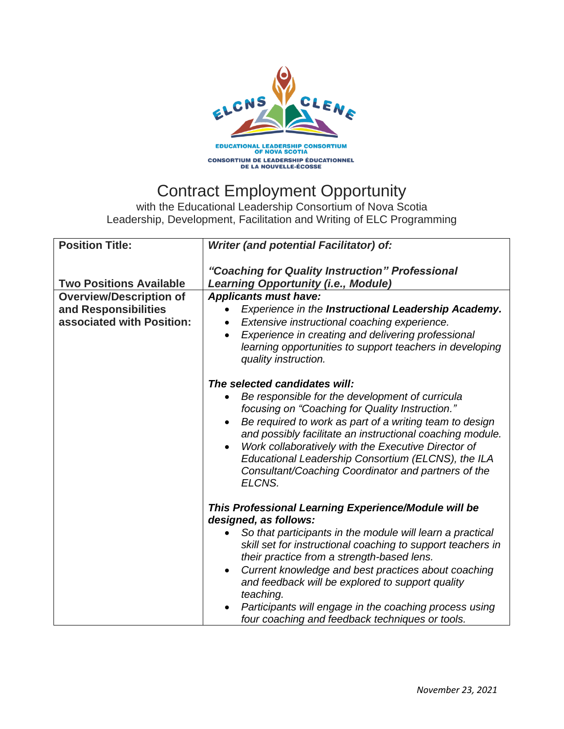

## Contract Employment Opportunity

with the Educational Leadership Consortium of Nova Scotia Leadership, Development, Facilitation and Writing of ELC Programming

| <b>Position Title:</b>                                                                                                | Writer (and potential Facilitator) of:                                                                                                                                                                                                                                                                                                                                                                                                                                                                    |
|-----------------------------------------------------------------------------------------------------------------------|-----------------------------------------------------------------------------------------------------------------------------------------------------------------------------------------------------------------------------------------------------------------------------------------------------------------------------------------------------------------------------------------------------------------------------------------------------------------------------------------------------------|
| <b>Two Positions Available</b><br><b>Overview/Description of</b><br>and Responsibilities<br>associated with Position: | "Coaching for Quality Instruction" Professional<br><b>Learning Opportunity (i.e., Module)</b><br><b>Applicants must have:</b><br>Experience in the Instructional Leadership Academy.<br>Extensive instructional coaching experience.<br>Experience in creating and delivering professional<br>$\bullet$<br>learning opportunities to support teachers in developing<br>quality instruction.                                                                                                               |
|                                                                                                                       | The selected candidates will:<br>Be responsible for the development of curricula<br>focusing on "Coaching for Quality Instruction."<br>Be required to work as part of a writing team to design<br>$\bullet$<br>and possibly facilitate an instructional coaching module.<br>Work collaboratively with the Executive Director of<br>$\bullet$<br>Educational Leadership Consortium (ELCNS), the ILA<br>Consultant/Coaching Coordinator and partners of the<br>ELCNS.                                       |
|                                                                                                                       | This Professional Learning Experience/Module will be<br>designed, as follows:<br>So that participants in the module will learn a practical<br>skill set for instructional coaching to support teachers in<br>their practice from a strength-based lens.<br>Current knowledge and best practices about coaching<br>$\bullet$<br>and feedback will be explored to support quality<br>teaching.<br>Participants will engage in the coaching process using<br>four coaching and feedback techniques or tools. |